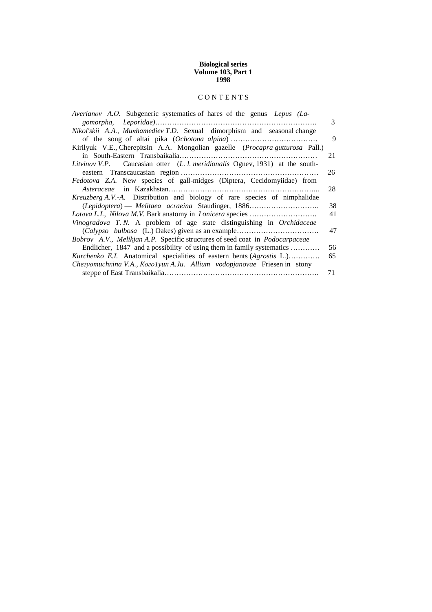## **Biological series Volume 103, Part 1 1998**

# С О N T E N T S

| Averianov A.O. Subgeneric systematics of hares of the genus Lepus (La-                      |    |
|---------------------------------------------------------------------------------------------|----|
|                                                                                             | 3  |
| Nikol'skii A.A., Mukhamediev T.D. Sexual dimorphism and seasonal change                     |    |
|                                                                                             | 9  |
| Kirilyuk V.E., Cherepitsin A.A. Mongolian gazelle (Procapra gutturosa Pall.)                |    |
|                                                                                             | 21 |
| <i>Litvinov V.P.</i> Caucasian otter ( <i>L. l. meridionalis</i> Ognev, 1931) at the south- |    |
|                                                                                             | 26 |
| <i>Fedotova Z.A.</i> New species of gall-midges (Diptera, Cecidomyiidae) from               |    |
|                                                                                             | 28 |
| <i>Kreuzberg A.V.-A.</i> Distribution and biology of rare species of nimphalidae            |    |
| (Lepidoptera) — Melitaea acraeina Staudinger, 1886                                          | 38 |
|                                                                                             | 41 |
| Vinogradova T.N. A problem of age state distinguishing in Orchidaceae                       |    |
|                                                                                             | 47 |
| Bobrov A.V., Melikjan A.P. Specific structures of seed coat in <i>Podocarpaceae</i>         |    |
| Endlicher, 1847 and a possibility of using them in family systematics                       | 56 |
| Kurchenko E.I. Anatomical specialities of eastern bents (Agrostis L.)                       | 65 |
| Chezyomuchkina V.A., Kozolyuk A.Ju. Allium vodopjanovae Friesen in stony                    |    |
|                                                                                             | 71 |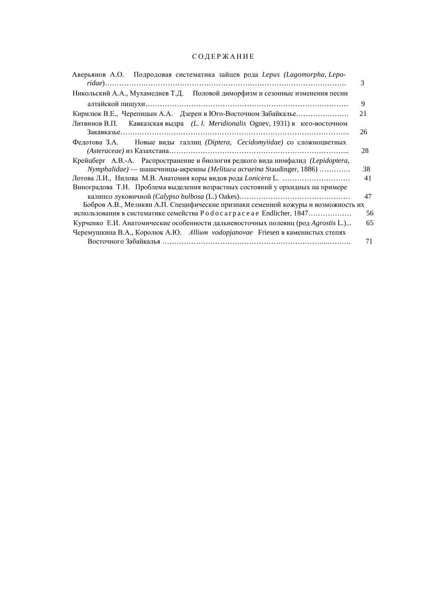# С О Д Е Р Ж А Н И Е

| Аверьянов А.О. Подродовая систематика зайцев рода Lepus (Lagomorpha, Lepo-        | 3  |
|-----------------------------------------------------------------------------------|----|
| Никольский А.А., Мухамедиев Т.Д. Половой диморфизм и сезонные изменения песни     |    |
|                                                                                   | 9  |
| Кирилюк В.Е., Черепицын А.А. Дзерен в Юго-Восточном Забайкалье                    | 21 |
| Литвинов В.П. Кавказская выдра (L. l. Meridionalis Ognev, 1931) в юго-восточном   |    |
|                                                                                   | 26 |
| Федотова З.А. Новые виды галлиц (Diptera, Cecidomyiidae) со сложноцветных         |    |
|                                                                                   | 28 |
| Крейцберг А.В.-А. Распространение и биология редкого вида нимфалид (Lepidoptera,  |    |
| Nymphalidae) — шашечницы-акреины (Melitaea acraeina Staudinger, 1886)             | 38 |
|                                                                                   | 41 |
| Виноградова Т.Н. Проблема выделения возрастных состояний у орхидных на примере    |    |
|                                                                                   | 47 |
| Бобров А.В., Меликян А.П. Специфические признаки семенной кожуры и возможность их |    |
| использования в систематике семейства P o d o c a r p a c e a e Endlicher, 1847   | 56 |
| Курченко Е.И. Анатомические особенности дальневосточных полевиц (род Agrostis L.) | 65 |
| Черемушкина В.А., Королюк А.Ю. Allium vodopjanovae Friesen в каменистых степях    |    |
|                                                                                   | 71 |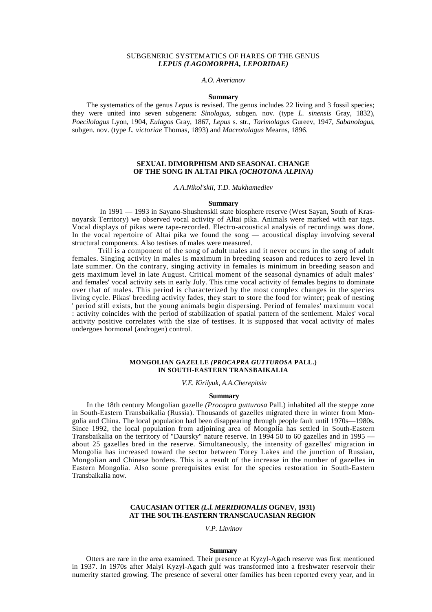### SUBGENERIC SYSTEMATICS OF HARES OF THE GENUS *LEPUS (LAGOMORPHA, LEPORIDAE)*

*A.O. Averianov* 

#### **Summary**

The systematics of the genus *Lepus* is revised. The genus includes 22 living and 3 fossil species; they were united into seven subgenera: *Sinolagus,* subgen. nov. (type *L. sinensis* Gray, 1832), *Poecilolagus* Lyon, 1904, *Eulagos* Gray, 1867, *Lepus* s. str., *Tarimolagus* Gureev, 1947, *Sabanolagus,*  subgen. nov. (type *L. victoriae* Thomas, 1893) and *Macrotolagus* Mearns, 1896.

# **SEXUAL DIMORPHISM AND SEASONAL CHANGE OF THE SONG IN ALTAI PIKA** *(OCHOTONA ALPINA)*

*A.A.Nikol'skii, T.D. Mukhamediev* 

#### **Summary**

In 1991 — 1993 in Sayano-Shushenskii state biosphere reserve (West Sayan, South of Krasnoyarsk Territory) we observed vocal activity of Altai pika. Animals were marked with ear tags. Vocal displays of pikas were tape-recorded. Electro-acoustical analysis of recordings was done. In the vocal repertoire of Altai pika we found the song — acoustical display involving several structural components. Also testises of males were measured.

Trill is a component of the song of adult males and it never occurs in the song of adult females. Singing activity in males is maximum in breeding season and reduces to zero level in late summer. On the contrary, singing activity in females is minimum in breeding season and gets maximum level in late August. Critical moment of the seasonal dynamics of adult males' and females' vocal activity sets in early July. This time vocal activity of females begins to dominate over that of males. This period is characterized by the most complex changes in the species living cycle. Pikas' breeding activity fades, they start to store the food for winter; peak of nesting ' period still exists, but the young animals begin dispersing. Period of females' maximum vocal : activity coincides with the period of stabilization of spatial pattern of the settlement. Males' vocal activity positive correlates with the size of testises. It is supposed that vocal activity of males undergoes hormonal (androgen) control.

# **MONGOLIAN GAZELLE** *(PROCAPRA GUTTUROSA* **PALL.) IN SOUTH-EASTERN TRANSBAIKALIA**

*V.E. Kirilyuk, A.A.Cherepitsin* 

# **Summary**

In the 18th century Mongolian gazelle *(Procapra gutturosa* Pall.) inhabited all the steppe zone in South-Eastern Transbaikalia (Russia). Thousands of gazelles migrated there in winter from Mongolia and China. The local population had been disappearing through people fault until 1970s—1980s. Since 1992, the local population from adjoining area of Mongolia has settled in South-Eastern Transbaikalia on the territory of "Daursky" nature reserve. In 1994 50 to 60 gazelles and in 1995 about 25 gazelles bred in the reserve. Simultaneously, the intensity of gazelles' migration in Mongolia has increased toward the sector between Torey Lakes and the junction of Russian, Mongolian and Chinese borders. This is a result of the increase in the number of gazelles in Eastern Mongolia. Also some prerequisites exist for the species restoration in South-Eastern Transbaikalia now.

# **CAUCASIAN OTTER** *(L.l. MERIDIONALIS* **OGNEV, 1931) AT THE SOUTH-EASTERN TRANSCAUCASIAN REGION**

*V.P. Litvinov* 

#### **Summary**

Otters are rare in the area examined. Their presence at Kyzyl-Agach reserve was first mentioned in 1937. In 1970s after Malyi Kyzyl-Agach gulf was transformed into a freshwater reservoir their numerity started growing. The presence of several otter families has been reported every year, and in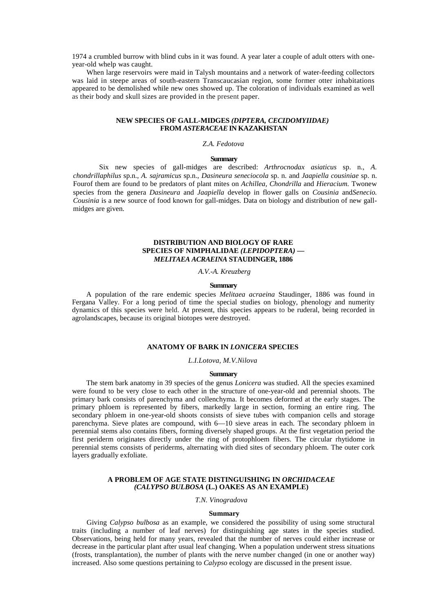1974 a crumbled burrow with blind cubs in it was found. A year later a couple of adult otters with oneyear-old whelp was caught.

When large reservoirs were maid in Talysh mountains and a network of water-feeding collectors was laid in steepe areas of south-eastern Transcaucasian region, some former otter inhabitations appeared to be demolished while new ones showed up. The coloration of individuals examined as well as their body and skull sizes are provided in the present paper.

# **NEW SPECIES OF GALL-MIDGES** *(DIPTERA, CECIDOMYIIDAE)*  **FROM** *ASTERACEAE* **IN KAZAKHSTAN**

# *Z.A. Fedotova*

#### **Summary**

Six new species of gall-midges are described: *Arthrocnodax asiaticus* sp. n., *A. chondrillaphilus* sp.n., *A. sajramicus* sp.n., *Dasineura seneciocola* sp. n. and *Jaapiella cousiniae* sp. n. Fourof them are found to be predators of plant mites on *Achillea, Chondrilla* and *Hieracium.* Twonew species from the genera *Dasineura* and *Jaapiella* develop in flower galls on *Cousinia* and*Senecio. Cousinia* is a new source of food known for gall-midges. Data on biology and distribution of new gallmidges are given.

# **DISTRIBUTION AND BIOLOGY OF RARE SPECIES OF NIMPHALIDAE** *(LEPIDOPTERA)* **—** *MELITAEA ACRAEINA* **STAUDINGER, 1886**

*A.V.-A. Kreuzberg* 

### **Summary**

A population of the rare endemic species *Melitaea acraeina* Staudinger, 1886 was found in Fergana Valley. For a long period of time the special studies on biology, phenology and numerity dynamics of this species were held. At present, this species appears to be ruderal, being recorded in agrolandscapes, because its original biotopes were destroyed.

# **ANATOMY OF BARK IN** *LONICERA* **SPECIES**

*L.I.Lotova, M.V.Nilova* 

#### **Summary**

The stem bark anatomy in 39 species of the genus *Lonicera* was studied. All the species examined were found to be very close to each other in the structure of one-year-old and perennial shoots. The primary bark consists of parenchyma and collenchyma. It becomes deformed at the early stages. The primary phloem is represented by fibers, markedly large in section, forming an entire ring. The secondary phloem in one-year-old shoots consists of sieve tubes with companion cells and storage parenchyma. Sieve plates are compound, with 6—10 sieve areas in each. The secondary phloem in perennial stems also contains fibers, forming diversely shaped groups. At the first vegetation period the first periderm originates directly under the ring of protophloem fibers. The circular rhytidome in perennial stems consists of periderms, alternating with died sites of secondary phloem. The outer cork layers gradually exfoliate.

### **A PROBLEM OF AGE STATE DISTINGUISHING IN** *ORCHIDACEAE (CALYPSO BULBOSA* **(L.) OAKES AS AN EXAMPLE)**

*T.N. Vinogradova* 

#### **Summary**

Giving *Calypso bulbosa* as an example, we considered the possibility of using some structural traits (including a number of leaf nerves) for distinguishing age states in the species studied. Observations, being held for many years, revealed that the number of nerves could either increase or decrease in the particular plant after usual leaf changing. When a population underwent stress situations (frosts, transplantation), the number of plants with the nerve number changed (in one or another way) increased. Also some questions pertaining to *Calypso* ecology are discussed in the present issue.